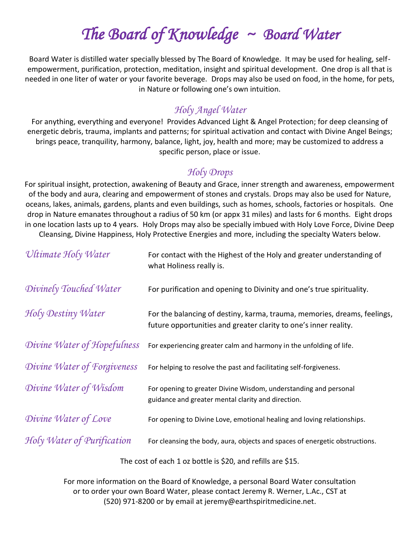# *The Board of Knowledge ~ Board Water*

Board Water is distilled water specially blessed by The Board of Knowledge. It may be used for healing, selfempowerment, purification, protection, meditation, insight and spiritual development. One drop is all that is needed in one liter of water or your favorite beverage. Drops may also be used on food, in the home, for pets, in Nature or following one's own intuition.

#### *Holy Angel Water*

For anything, everything and everyone! Provides Advanced Light & Angel Protection; for deep cleansing of energetic debris, trauma, implants and patterns; for spiritual activation and contact with Divine Angel Beings; brings peace, tranquility, harmony, balance, light, joy, health and more; may be customized to address a specific person, place or issue.

### *Holy Drops*

For spiritual insight, protection, awakening of Beauty and Grace, inner strength and awareness, empowerment of the body and aura, clearing and empowerment of stones and crystals. Drops may also be used for Nature, oceans, lakes, animals, gardens, plants and even buildings, such as homes, schools, factories or hospitals. One drop in Nature emanates throughout a radius of 50 km (or appx 31 miles) and lasts for 6 months. Eight drops in one location lasts up to 4 years. Holy Drops may also be specially imbued with Holy Love Force, Divine Deep Cleansing, Divine Happiness, Holy Protective Energies and more, including the specialty Waters below.

| Ultimate Holy Water         | For contact with the Highest of the Holy and greater understanding of<br>what Holiness really is.                                            |
|-----------------------------|----------------------------------------------------------------------------------------------------------------------------------------------|
| Divinely Touched Water      | For purification and opening to Divinity and one's true spirituality.                                                                        |
| Holy Destiny Water          | For the balancing of destiny, karma, trauma, memories, dreams, feelings,<br>future opportunities and greater clarity to one's inner reality. |
| Divine Water of Hopefulness | For experiencing greater calm and harmony in the unfolding of life.                                                                          |
| Divine Water of Forgiveness | For helping to resolve the past and facilitating self-forgiveness.                                                                           |
| Divine Water of Wisdom      | For opening to greater Divine Wisdom, understanding and personal<br>guidance and greater mental clarity and direction.                       |
| Divine Water of Love        | For opening to Divine Love, emotional healing and loving relationships.                                                                      |
| Holy Water of Purification  | For cleansing the body, aura, objects and spaces of energetic obstructions.                                                                  |
|                             |                                                                                                                                              |

The cost of each 1 oz bottle is \$20, and refills are \$15.

For more information on the Board of Knowledge, a personal Board Water consultation or to order your own Board Water, please contact Jeremy R. Werner, L.Ac., CST at (520) 971-8200 or by email at jeremy@earthspiritmedicine.net.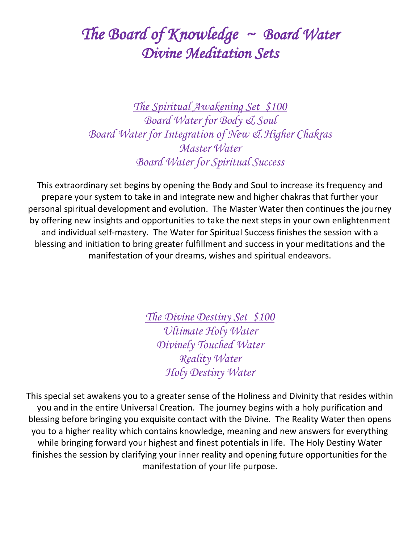### *The Board of Knowledge ~ Board Water Divine Meditation Sets*

*The Spiritual Awakening Set \$100 Board Water for Body & Soul Board Water for Integration of New & Higher Chakras Master Water Board Water for Spiritual Success*

This extraordinary set begins by opening the Body and Soul to increase its frequency and prepare your system to take in and integrate new and higher chakras that further your personal spiritual development and evolution. The Master Water then continues the journey by offering new insights and opportunities to take the next steps in your own enlightenment and individual self-mastery. The Water for Spiritual Success finishes the session with a blessing and initiation to bring greater fulfillment and success in your meditations and the manifestation of your dreams, wishes and spiritual endeavors.

> *The Divine Destiny Set \$100 Ultimate Holy Water Divinely Touched Water Reality Water Holy Destiny Water*

This special set awakens you to a greater sense of the Holiness and Divinity that resides within you and in the entire Universal Creation. The journey begins with a holy purification and blessing before bringing you exquisite contact with the Divine. The Reality Water then opens you to a higher reality which contains knowledge, meaning and new answers for everything while bringing forward your highest and finest potentials in life. The Holy Destiny Water finishes the session by clarifying your inner reality and opening future opportunities for the manifestation of your life purpose.